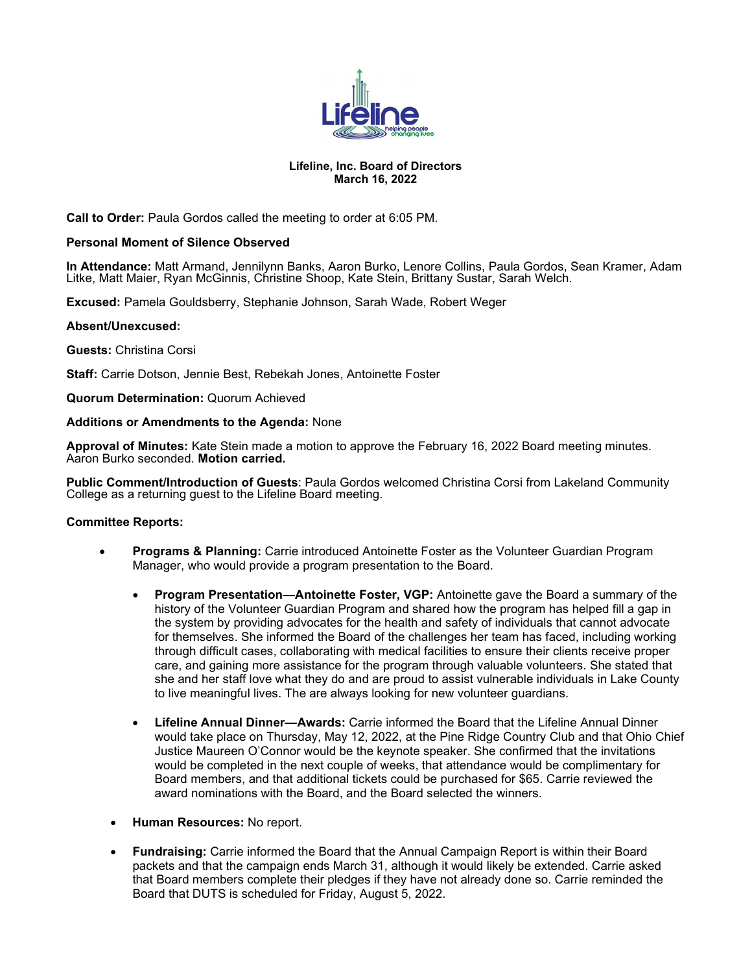

# **Lifeline, Inc. Board of Directors March 16, 2022**

**Call to Order:** Paula Gordos called the meeting to order at 6:05 PM.

## **Personal Moment of Silence Observed**

**In Attendance:** Matt Armand, Jennilynn Banks, Aaron Burko, Lenore Collins, Paula Gordos, Sean Kramer, Adam Litke, Matt Maier, Ryan McGinnis, Christine Shoop, Kate Stein, Brittany Sustar, Sarah Welch.

**Excused:** Pamela Gouldsberry, Stephanie Johnson, Sarah Wade, Robert Weger

#### **Absent/Unexcused:**

**Guests:** Christina Corsi

**Staff:** Carrie Dotson, Jennie Best, Rebekah Jones, Antoinette Foster

**Quorum Determination:** Quorum Achieved

#### **Additions or Amendments to the Agenda:** None

**Approval of Minutes:** Kate Stein made a motion to approve the February 16, 2022 Board meeting minutes. Aaron Burko seconded. **Motion carried.** 

**Public Comment/Introduction of Guests**: Paula Gordos welcomed Christina Corsi from Lakeland Community College as a returning guest to the Lifeline Board meeting.

## **Committee Reports:**

- **Programs & Planning:** Carrie introduced Antoinette Foster as the Volunteer Guardian Program Manager, who would provide a program presentation to the Board.
	- **Program Presentation—Antoinette Foster, VGP:** Antoinette gave the Board a summary of the history of the Volunteer Guardian Program and shared how the program has helped fill a gap in the system by providing advocates for the health and safety of individuals that cannot advocate for themselves. She informed the Board of the challenges her team has faced, including working through difficult cases, collaborating with medical facilities to ensure their clients receive proper care, and gaining more assistance for the program through valuable volunteers. She stated that she and her staff love what they do and are proud to assist vulnerable individuals in Lake County to live meaningful lives. The are always looking for new volunteer guardians.
	- **Lifeline Annual Dinner—Awards:** Carrie informed the Board that the Lifeline Annual Dinner would take place on Thursday, May 12, 2022, at the Pine Ridge Country Club and that Ohio Chief Justice Maureen O'Connor would be the keynote speaker. She confirmed that the invitations would be completed in the next couple of weeks, that attendance would be complimentary for Board members, and that additional tickets could be purchased for \$65. Carrie reviewed the award nominations with the Board, and the Board selected the winners.
- **Human Resources:** No report.
- **Fundraising:** Carrie informed the Board that the Annual Campaign Report is within their Board packets and that the campaign ends March 31, although it would likely be extended. Carrie asked that Board members complete their pledges if they have not already done so. Carrie reminded the Board that DUTS is scheduled for Friday, August 5, 2022.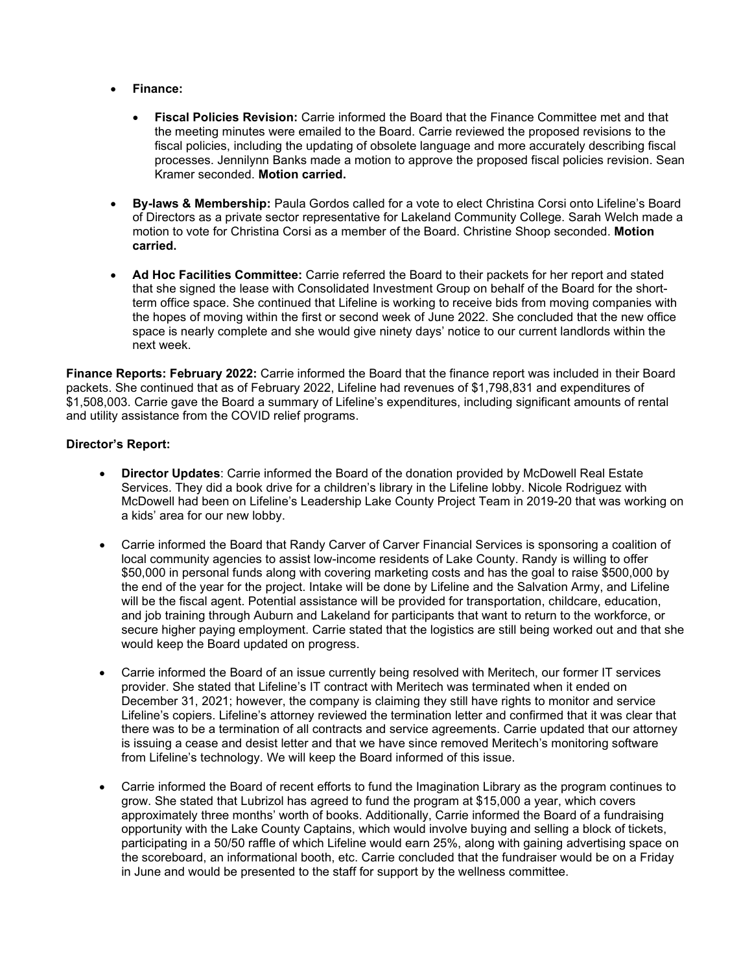- **Finance:**
	- **Fiscal Policies Revision:** Carrie informed the Board that the Finance Committee met and that the meeting minutes were emailed to the Board. Carrie reviewed the proposed revisions to the fiscal policies, including the updating of obsolete language and more accurately describing fiscal processes. Jennilynn Banks made a motion to approve the proposed fiscal policies revision. Sean Kramer seconded. **Motion carried.**
- **By-laws & Membership:** Paula Gordos called for a vote to elect Christina Corsi onto Lifeline's Board of Directors as a private sector representative for Lakeland Community College. Sarah Welch made a motion to vote for Christina Corsi as a member of the Board. Christine Shoop seconded. **Motion carried.**
- **Ad Hoc Facilities Committee:** Carrie referred the Board to their packets for her report and stated that she signed the lease with Consolidated Investment Group on behalf of the Board for the shortterm office space. She continued that Lifeline is working to receive bids from moving companies with the hopes of moving within the first or second week of June 2022. She concluded that the new office space is nearly complete and she would give ninety days' notice to our current landlords within the next week.

**Finance Reports: February 2022:** Carrie informed the Board that the finance report was included in their Board packets. She continued that as of February 2022, Lifeline had revenues of \$1,798,831 and expenditures of \$1,508,003. Carrie gave the Board a summary of Lifeline's expenditures, including significant amounts of rental and utility assistance from the COVID relief programs.

# **Director's Report:**

- **Director Updates**: Carrie informed the Board of the donation provided by McDowell Real Estate Services. They did a book drive for a children's library in the Lifeline lobby. Nicole Rodriguez with McDowell had been on Lifeline's Leadership Lake County Project Team in 2019-20 that was working on a kids' area for our new lobby.
- Carrie informed the Board that Randy Carver of Carver Financial Services is sponsoring a coalition of local community agencies to assist low-income residents of Lake County. Randy is willing to offer \$50,000 in personal funds along with covering marketing costs and has the goal to raise \$500,000 by the end of the year for the project. Intake will be done by Lifeline and the Salvation Army, and Lifeline will be the fiscal agent. Potential assistance will be provided for transportation, childcare, education, and job training through Auburn and Lakeland for participants that want to return to the workforce, or secure higher paying employment. Carrie stated that the logistics are still being worked out and that she would keep the Board updated on progress.
- Carrie informed the Board of an issue currently being resolved with Meritech, our former IT services provider. She stated that Lifeline's IT contract with Meritech was terminated when it ended on December 31, 2021; however, the company is claiming they still have rights to monitor and service Lifeline's copiers. Lifeline's attorney reviewed the termination letter and confirmed that it was clear that there was to be a termination of all contracts and service agreements. Carrie updated that our attorney is issuing a cease and desist letter and that we have since removed Meritech's monitoring software from Lifeline's technology. We will keep the Board informed of this issue.
- Carrie informed the Board of recent efforts to fund the Imagination Library as the program continues to grow. She stated that Lubrizol has agreed to fund the program at \$15,000 a year, which covers approximately three months' worth of books. Additionally, Carrie informed the Board of a fundraising opportunity with the Lake County Captains, which would involve buying and selling a block of tickets, participating in a 50/50 raffle of which Lifeline would earn 25%, along with gaining advertising space on the scoreboard, an informational booth, etc. Carrie concluded that the fundraiser would be on a Friday in June and would be presented to the staff for support by the wellness committee.